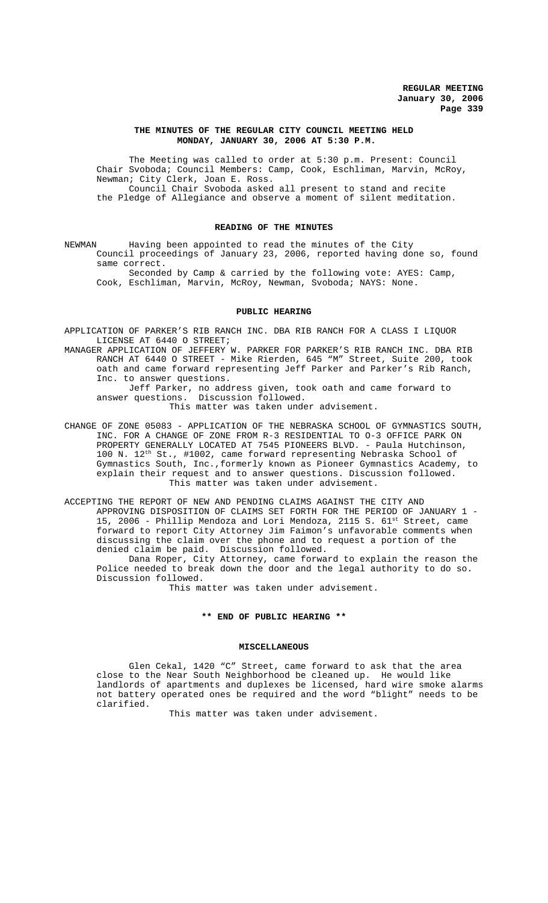#### **THE MINUTES OF THE REGULAR CITY COUNCIL MEETING HELD MONDAY, JANUARY 30, 2006 AT 5:30 P.M.**

The Meeting was called to order at 5:30 p.m. Present: Council Chair Svoboda; Council Members: Camp, Cook, Eschliman, Marvin, McRoy, Newman; City Clerk, Joan E. Ross. Council Chair Svoboda asked all present to stand and recite the Pledge of Allegiance and observe a moment of silent meditation.

## **READING OF THE MINUTES**

NEWMAN Having been appointed to read the minutes of the City Council proceedings of January 23, 2006, reported having done so, found same correct.

Seconded by Camp & carried by the following vote: AYES: Camp, Cook, Eschliman, Marvin, McRoy, Newman, Svoboda; NAYS: None.

#### **PUBLIC HEARING**

APPLICATION OF PARKER'S RIB RANCH INC. DBA RIB RANCH FOR A CLASS I LIQUOR LICENSE AT 6440 O STREET;

MANAGER APPLICATION OF JEFFERY W. PARKER FOR PARKER'S RIB RANCH INC. DBA RIB RANCH AT 6440 O STREET - Mike Rierden, 645 "M" Street, Suite 200, took oath and came forward representing Jeff Parker and Parker's Rib Ranch, Inc. to answer questions.

 Jeff Parker, no address given, took oath and came forward to answer questions. Discussion followed. This matter was taken under advisement.

CHANGE OF ZONE 05083 - APPLICATION OF THE NEBRASKA SCHOOL OF GYMNASTICS SOUTH, INC. FOR A CHANGE OF ZONE FROM R-3 RESIDENTIAL TO O-3 OFFICE PARK ON PROPERTY GENERALLY LOCATED AT 7545 PIONEERS BLVD. - Paula Hutchinson, 100 N.  $12^{th}$  St., #1002, came forward representing Nebraska School of Gymnastics South, Inc.,formerly known as Pioneer Gymnastics Academy, to explain their request and to answer questions. Discussion followed. This matter was taken under advisement.

ACCEPTING THE REPORT OF NEW AND PENDING CLAIMS AGAINST THE CITY AND APPROVING DISPOSITION OF CLAIMS SET FORTH FOR THE PERIOD OF JANUARY 1 - 15, 2006 - Phillip Mendoza and Lori Mendoza, 2115 S. 61<sup>st</sup> Street, came forward to report City Attorney Jim Faimon's unfavorable comments when discussing the claim over the phone and to request a portion of the denied claim be paid. Discussion followed.

Dana Roper, City Attorney, came forward to explain the reason the Police needed to break down the door and the legal authority to do so. Discussion followed.

This matter was taken under advisement.

#### **\*\* END OF PUBLIC HEARING \*\***

#### **MISCELLANEOUS**

Glen Cekal, 1420 "C" Street, came forward to ask that the area close to the Near South Neighborhood be cleaned up. He would like landlords of apartments and duplexes be licensed, hard wire smoke alarms not battery operated ones be required and the word "blight" needs to be clarified.

This matter was taken under advisement.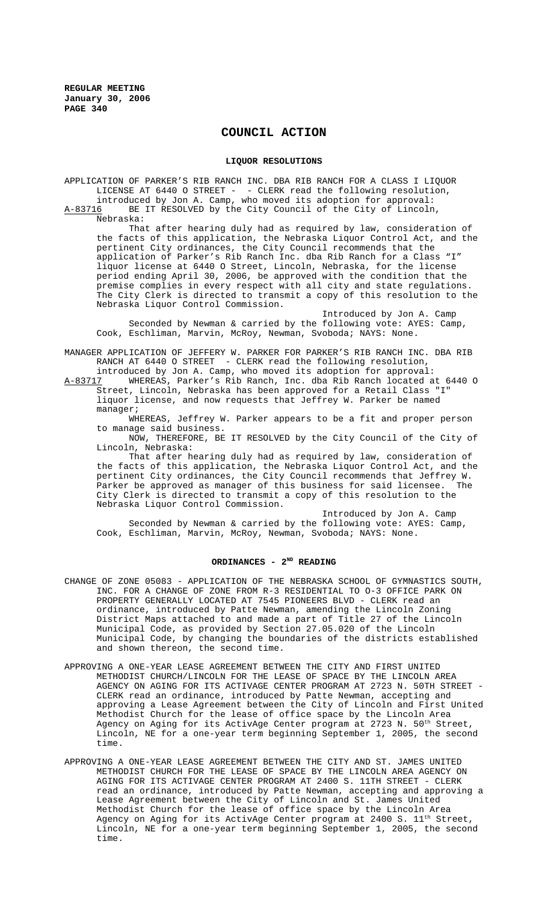# **COUNCIL ACTION**

#### **LIQUOR RESOLUTIONS**

APPLICATION OF PARKER'S RIB RANCH INC. DBA RIB RANCH FOR A CLASS I LIQUOR LICENSE AT 6440 O STREET - - CLERK read the following resolution, introduced by Jon A. Camp, who moved its adoption for approval: A-83716 BE IT RESOLVED by the City Council of the City of Lincoln, Nebraska:

That after hearing duly had as required by law, consideration of the facts of this application, the Nebraska Liquor Control Act, and the pertinent City ordinances, the City Council recommends that the application of Parker's Rib Ranch Inc. dba Rib Ranch for a Class "I" liquor license at 6440 O Street, Lincoln, Nebraska, for the license period ending April 30, 2006, be approved with the condition that the premise complies in every respect with all city and state regulations. The City Clerk is directed to transmit a copy of this resolution to the Nebraska Liquor Control Commission.

Introduced by Jon A. Camp Seconded by Newman & carried by the following vote: AYES: Camp, Cook, Eschliman, Marvin, McRoy, Newman, Svoboda; NAYS: None.

MANAGER APPLICATION OF JEFFERY W. PARKER FOR PARKER'S RIB RANCH INC. DBA RIB RANCH AT 6440 O STREET - CLERK read the following resolution, introduced by Jon A. Camp, who moved its adoption for approval:

A-83717 WHEREAS, Parker's Rib Ranch, Inc. dba Rib Ranch located at 6440 O Street, Lincoln, Nebraska has been approved for a Retail Class "I" liquor license, and now requests that Jeffrey W. Parker be named manager;

WHEREAS, Jeffrey W. Parker appears to be a fit and proper person to manage said business.

NOW, THEREFORE, BE IT RESOLVED by the City Council of the City of Lincoln, Nebraska:

That after hearing duly had as required by law, consideration of the facts of this application, the Nebraska Liquor Control Act, and the pertinent City ordinances, the City Council recommends that Jeffrey W. Parker be approved as manager of this business for said licensee. City Clerk is directed to transmit a copy of this resolution to the Nebraska Liquor Control Commission.

Introduced by Jon A. Camp Seconded by Newman & carried by the following vote: AYES: Camp, Cook, Eschliman, Marvin, McRoy, Newman, Svoboda; NAYS: None.

## ORDINANCES - 2<sup>ND</sup> READING

- CHANGE OF ZONE 05083 APPLICATION OF THE NEBRASKA SCHOOL OF GYMNASTICS SOUTH, INC. FOR A CHANGE OF ZONE FROM R-3 RESIDENTIAL TO 0-3 OFFICE PARK ON PROPERTY GENERALLY LOCATED AT 7545 PIONEERS BLVD - CLERK read an ordinance, introduced by Patte Newman, amending the Lincoln Zoning District Maps attached to and made a part of Title 27 of the Lincoln Municipal Code, as provided by Section 27.05.020 of the Lincoln Municipal Code, by changing the boundaries of the districts established and shown thereon, the second time.
- APPROVING A ONE-YEAR LEASE AGREEMENT BETWEEN THE CITY AND FIRST UNITED METHODIST CHURCH/LINCOLN FOR THE LEASE OF SPACE BY THE LINCOLN AREA AGENCY ON AGING FOR ITS ACTIVAGE CENTER PROGRAM AT 2723 N. 50TH STREET - CLERK read an ordinance, introduced by Patte Newman, accepting and approving a Lease Agreement between the City of Lincoln and First United Methodist Church for the lease of office space by the Lincoln Area Agency on Aging for its ActivAge Center program at 2723 N. 50<sup>th</sup> Street, Lincoln, NE for a one-year term beginning September 1, 2005, the second time.
- APPROVING A ONE-YEAR LEASE AGREEMENT BETWEEN THE CITY AND ST. JAMES UNITED METHODIST CHURCH FOR THE LEASE OF SPACE BY THE LINCOLN AREA AGENCY ON AGING FOR ITS ACTIVAGE CENTER PROGRAM AT 2400 S. 11TH STREET - CLERK read an ordinance, introduced by Patte Newman, accepting and approving a Lease Agreement between the City of Lincoln and St. James United Methodist Church for the lease of office space by the Lincoln Area Agency on Aging for its ActivAge Center program at 2400 S. 11<sup>th</sup> Street, Lincoln, NE for a one-year term beginning September 1, 2005, the second time.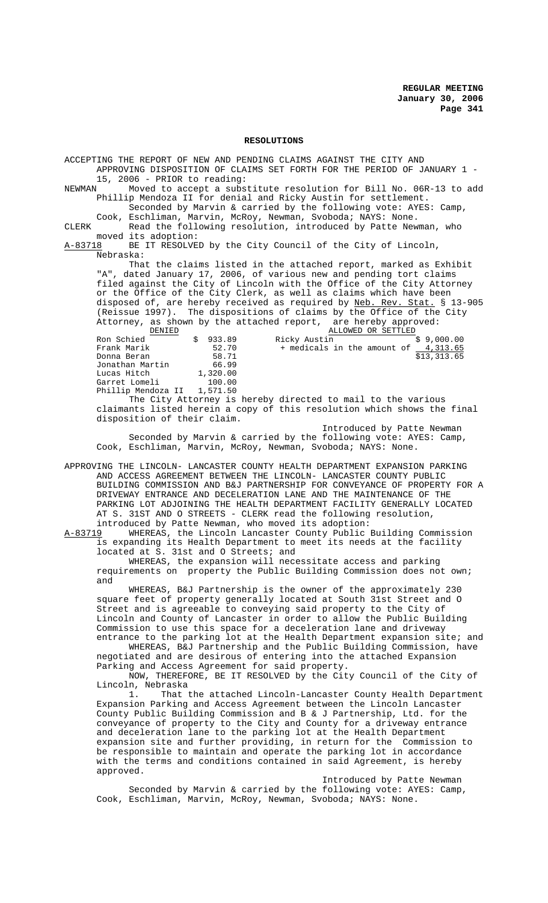#### **RESOLUTIONS**

ACCEPTING THE REPORT OF NEW AND PENDING CLAIMS AGAINST THE CITY AND APPROVING DISPOSITION OF CLAIMS SET FORTH FOR THE PERIOD OF JANUARY 1 - 15, 2006 - PRIOR to reading:<br>NEWMAN Moved to accept a subsi Moved to accept a substitute resolution for Bill No. 06R-13 to add Phillip Mendoza II for denial and Ricky Austin for settlement. Seconded by Marvin & carried by the following vote: AYES: Camp, Cook, Eschliman, Marvin, McRoy, Newman, Svoboda; NAYS: None. CLERK Read the following resolution, introduced by Patte Newman, who moved its adoption:<br>A-83718 BE IT RESOLVE BE IT RESOLVED by the City Council of the City of Lincoln, Nebraska: That the claims listed in the attached report, marked as Exhibit "A", dated January 17, 2006, of various new and pending tort claims filed against the City of Lincoln with the Office of the City Attorney or the Office of the City Clerk, as well as claims which have been disposed of, are hereby received as required by Neb. Rev. Stat. § 13-905 (Reissue 1997). The dispositions of claims by the Office of the City Attorney, as shown by the attached report, are hereby approved:<br>ALLOWED OR SETTLED ERIED S ALLOWED OR SETTLED<br>
Ron Schied \$ 933.89 Ricky Austin \$ 9,000.00<br>
Frank Marik 52.70 Frank Marik 52.70 Ron Schied \$ 933.89 Ricky Austin \$ 9,000.00 Frank Marik  $52.70 +$  medicals in the amount of  $4.313.65$ Donna Beran 58.71 \$13,313.65 Jonathan Martin 66.99<br>
Lucas Hitch 1,320.00 Lucas Hitch 1,320.00<br>Garret Lomeli 100.00 Garret Lomeli Phillip Mendoza II 1,571.50 The City Attorney is hereby directed to mail to the various claimants listed herein a copy of this resolution which shows the final disposition of their claim. Introduced by Patte Newman Seconded by Marvin & carried by the following vote: AYES: Camp, Cook, Eschliman, Marvin, McRoy, Newman, Svoboda; NAYS: None. APPROVING THE LINCOLN- LANCASTER COUNTY HEALTH DEPARTMENT EXPANSION PARKING AND ACCESS AGREEMENT BETWEEN THE LINCOLN- LANCASTER COUNTY PUBLIC BUILDING COMMISSION AND B&J PARTNERSHIP FOR CONVEYANCE OF PROPERTY FOR A DRIVEWAY ENTRANCE AND DECELERATION LANE AND THE MAINTENANCE OF THE PARKING LOT ADJOINING THE HEALTH DEPARTMENT FACILITY GENERALLY LOCATED AT S. 31ST AND O STREETS - CLERK read the following resolution, introduced by Patte Newman, who moved its adoption:<br>A-83719 WHEREAS, the Lincoln Lancaster County Public WHEREAS, the Lincoln Lancaster County Public Building Commission is expanding its Health Department to meet its needs at the facility located at S. 31st and O Streets; and WHEREAS, the expansion will necessitate access and parking requirements on property the Public Building Commission does not own; and WHEREAS, B&J Partnership is the owner of the approximately 230

square feet of property generally located at South 31st Street and O Street and is agreeable to conveying said property to the City of Lincoln and County of Lancaster in order to allow the Public Building Commission to use this space for a deceleration lane and driveway entrance to the parking lot at the Health Department expansion site; and

WHEREAS, B&J Partnership and the Public Building Commission, have negotiated and are desirous of entering into the attached Expansion Parking and Access Agreement for said property.

NOW, THEREFORE, BE IT RESOLVED by the City Council of the City of Lincoln, Nebraska<br>1. That t

That the attached Lincoln-Lancaster County Health Department Expansion Parking and Access Agreement between the Lincoln Lancaster County Public Building Commission and B & J Partnership, Ltd. for the conveyance of property to the City and County for a driveway entrance and deceleration lane to the parking lot at the Health Department expansion site and further providing, in return for the Commission to be responsible to maintain and operate the parking lot in accordance with the terms and conditions contained in said Agreement, is hereby approved.

Introduced by Patte Newman Seconded by Marvin & carried by the following vote: AYES: Camp, Cook, Eschliman, Marvin, McRoy, Newman, Svoboda; NAYS: None.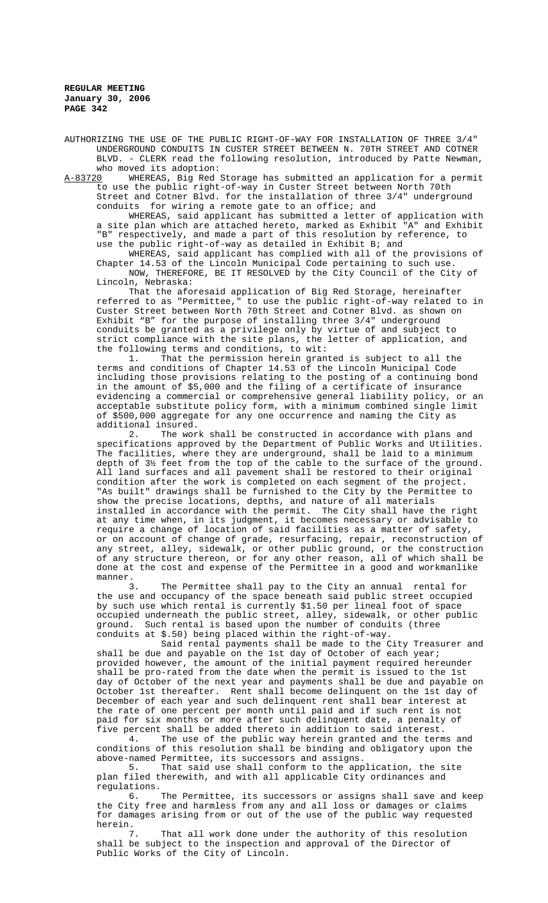AUTHORIZING THE USE OF THE PUBLIC RIGHT-OF-WAY FOR INSTALLATION OF THREE 3/4" UNDERGROUND CONDUITS IN CUSTER STREET BETWEEN N. 70TH STREET AND COTNER BLVD. - CLERK read the following resolution, introduced by Patte Newman, who moved its adoption:<br>A-83720 WHEREAS, Big Red

WHEREAS, Big Red Storage has submitted an application for a permit to use the public right-of-way in Custer Street between North 70th Street and Cotner Blvd. for the installation of three 3/4" underground conduits for wiring a remote gate to an office; and

WHEREAS, said applicant has submitted a letter of application with a site plan which are attached hereto, marked as Exhibit "A" and Exhibit "B" respectively, and made a part of this resolution by reference, to use the public right-of-way as detailed in Exhibit B; and

WHEREAS, said applicant has complied with all of the provisions of Chapter 14.53 of the Lincoln Municipal Code pertaining to such use. NOW, THEREFORE, BE IT RESOLVED by the City Council of the City of

Lincoln, Nebraska: That the aforesaid application of Big Red Storage, hereinafter referred to as "Permittee," to use the public right-of-way related to in Custer Street between North 70th Street and Cotner Blvd. as shown on Exhibit "B" for the purpose of installing three 3/4" underground conduits be granted as a privilege only by virtue of and subject to strict compliance with the site plans, the letter of application, and the following terms and conditions, to wit:

1. That the permission herein granted is subject to all the terms and conditions of Chapter 14.53 of the Lincoln Municipal Code including those provisions relating to the posting of a continuing bond in the amount of \$5,000 and the filing of a certificate of insurance evidencing a commercial or comprehensive general liability policy, or an acceptable substitute policy form, with a minimum combined single limit of \$500,000 aggregate for any one occurrence and naming the City as additional insured.

2. The work shall be constructed in accordance with plans and specifications approved by the Department of Public Works and Utilities. The facilities, where they are underground, shall be laid to a minimum depth of 3½ feet from the top of the cable to the surface of the ground. All land surfaces and all pavement shall be restored to their original condition after the work is completed on each segment of the project. "As built" drawings shall be furnished to the City by the Permittee to show the precise locations, depths, and nature of all materials installed in accordance with the permit. The City shall have the right at any time when, in its judgment, it becomes necessary or advisable to require a change of location of said facilities as a matter of safety, or on account of change of grade, resurfacing, repair, reconstruction of any street, alley, sidewalk, or other public ground, or the construction of any structure thereon, or for any other reason, all of which shall be done at the cost and expense of the Permittee in a good and workmanlike manner.<br>3.

The Permittee shall pay to the City an annual rental for the use and occupancy of the space beneath said public street occupied by such use which rental is currently \$1.50 per lineal foot of space occupied underneath the public street, alley, sidewalk, or other public ground. Such rental is based upon the number of conduits (three conduits at \$.50) being placed within the right-of-way.

Said rental payments shall be made to the City Treasurer and shall be due and payable on the 1st day of October of each year; provided however, the amount of the initial payment required hereunder shall be pro-rated from the date when the permit is issued to the 1st day of October of the next year and payments shall be due and payable on October 1st thereafter. Rent shall become delinquent on the 1st day of December of each year and such delinquent rent shall bear interest at the rate of one percent per month until paid and if such rent is not paid for six months or more after such delinquent date, a penalty of five percent shall be added thereto in addition to said interest.

4. The use of the public way herein granted and the terms and conditions of this resolution shall be binding and obligatory upon the above-named Permittee, its successors and assigns.

That said use shall conform to the application, the site plan filed therewith, and with all applicable City ordinances and regulations.<br>6.

The Permittee, its successors or assigns shall save and keep the City free and harmless from any and all loss or damages or claims for damages arising from or out of the use of the public way requested herein.

That all work done under the authority of this resolution shall be subject to the inspection and approval of the Director of Public Works of the City of Lincoln.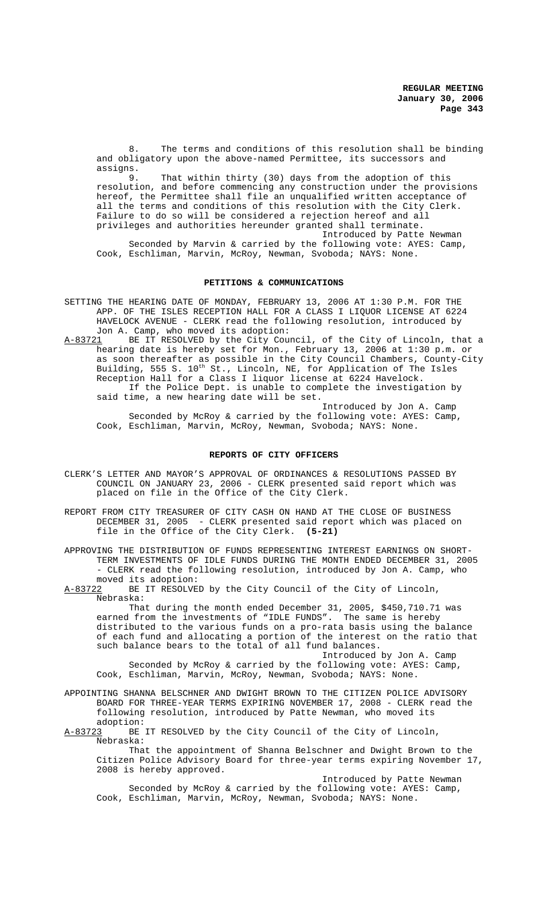8. The terms and conditions of this resolution shall be binding and obligatory upon the above-named Permittee, its successors and assigns.<br>9

That within thirty (30) days from the adoption of this resolution, and before commencing any construction under the provisions hereof, the Permittee shall file an unqualified written acceptance of all the terms and conditions of this resolution with the City Clerk. Failure to do so will be considered a rejection hereof and all privileges and authorities hereunder granted shall terminate. Introduced by Patte Newman

Seconded by Marvin & carried by the following vote: AYES: Camp, Cook, Eschliman, Marvin, McRoy, Newman, Svoboda; NAYS: None.

#### **PETITIONS & COMMUNICATIONS**

- SETTING THE HEARING DATE OF MONDAY, FEBRUARY 13, 2006 AT 1:30 P.M. FOR THE APP. OF THE ISLES RECEPTION HALL FOR A CLASS I LIQUOR LICENSE AT 6224 HAVELOCK AVENUE - CLERK read the following resolution, introduced by Jon A. Camp, who moved its adoption:
- A-83721 BE IT RESOLVED by the City Council, of the City of Lincoln, that a hearing date is hereby set for Mon., February 13, 2006 at 1:30 p.m. or as soon thereafter as possible in the City Council Chambers, County-City Building, 555 S. 10th St., Lincoln, NE, for Application of The Isles Reception Hall for a Class I liquor license at 6224 Havelock. If the Police Dept. is unable to complete the investigation by said time, a new hearing date will be set. Introduced by Jon A. Camp

Seconded by McRoy & carried by the following vote: AYES: Camp, Cook, Eschliman, Marvin, McRoy, Newman, Svoboda; NAYS: None.

#### **REPORTS OF CITY OFFICERS**

- CLERK'S LETTER AND MAYOR'S APPROVAL OF ORDINANCES & RESOLUTIONS PASSED BY COUNCIL ON JANUARY 23, 2006 - CLERK presented said report which was placed on file in the Office of the City Clerk.
- REPORT FROM CITY TREASURER OF CITY CASH ON HAND AT THE CLOSE OF BUSINESS DECEMBER 31, 2005 - CLERK presented said report which was placed on file in the Office of the City Clerk. **(5-21)**
- APPROVING THE DISTRIBUTION OF FUNDS REPRESENTING INTEREST EARNINGS ON SHORT-TERM INVESTMENTS OF IDLE FUNDS DURING THE MONTH ENDED DECEMBER 31, 2005 - CLERK read the following resolution, introduced by Jon A. Camp, who moved its adoption:<br>A-83722 BE IT RESOLVE

BE IT RESOLVED by the City Council of the City of Lincoln, Nebraska:

That during the month ended December 31, 2005, \$450,710.71 was earned from the investments of "IDLE FUNDS". The same is hereby distributed to the various funds on a pro-rata basis using the balance of each fund and allocating a portion of the interest on the ratio that such balance bears to the total of all fund balances.

Introduced by Jon A. Camp Seconded by McRoy & carried by the following vote: AYES: Camp, Cook, Eschliman, Marvin, McRoy, Newman, Svoboda; NAYS: None.

APPOINTING SHANNA BELSCHNER AND DWIGHT BROWN TO THE CITIZEN POLICE ADVISORY BOARD FOR THREE-YEAR TERMS EXPIRING NOVEMBER 17, 2008 - CLERK read the following resolution, introduced by Patte Newman, who moved its

adoption:<br>A-83723 BE BE IT RESOLVED by the City Council of the City of Lincoln, Nebraska:

That the appointment of Shanna Belschner and Dwight Brown to the Citizen Police Advisory Board for three-year terms expiring November 17, 2008 is hereby approved.

Introduced by Patte Newman Seconded by McRoy & carried by the following vote: AYES: Camp, Cook, Eschliman, Marvin, McRoy, Newman, Svoboda; NAYS: None.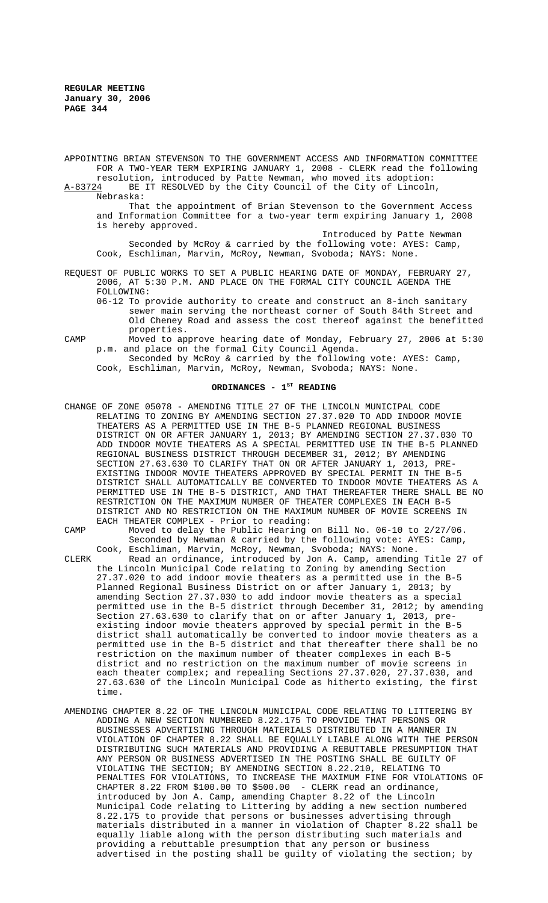APPOINTING BRIAN STEVENSON TO THE GOVERNMENT ACCESS AND INFORMATION COMMITTEE FOR A TWO-YEAR TERM EXPIRING JANUARY 1, 2008 - CLERK read the following resolution, introduced by Patte Newman, who moved its adoption: A-83724 BE IT RESOLVED by the City Council of the City of Lincoln,

Nebraska: That the appointment of Brian Stevenson to the Government Access and Information Committee for a two-year term expiring January 1, 2008 is hereby approved.

Introduced by Patte Newman Seconded by McRoy & carried by the following vote: AYES: Camp, Cook, Eschliman, Marvin, McRoy, Newman, Svoboda; NAYS: None.

REQUEST OF PUBLIC WORKS TO SET A PUBLIC HEARING DATE OF MONDAY, FEBRUARY 27, 2006, AT 5:30 P.M. AND PLACE ON THE FORMAL CITY COUNCIL AGENDA THE FOLLOWING:

- 06-12 To provide authority to create and construct an 8-inch sanitary sewer main serving the northeast corner of South 84th Street and Old Cheney Road and assess the cost thereof against the benefitted properties.
- CAMP Moved to approve hearing date of Monday, February 27, 2006 at 5:30 p.m. and place on the formal City Council Agenda. Seconded by McRoy & carried by the following vote: AYES: Camp,

Cook, Eschliman, Marvin, McRoy, Newman, Svoboda; NAYS: None.

# ORDINANCES - 1<sup>st</sup> READING

CHANGE OF ZONE 05078 - AMENDING TITLE 27 OF THE LINCOLN MUNICIPAL CODE RELATING TO ZONING BY AMENDING SECTION 27.37.020 TO ADD INDOOR MOVIE THEATERS AS A PERMITTED USE IN THE B-5 PLANNED REGIONAL BUSINESS DISTRICT ON OR AFTER JANUARY 1, 2013; BY AMENDING SECTION 27.37.030 TO ADD INDOOR MOVIE THEATERS AS A SPECIAL PERMITTED USE IN THE B-5 PLANNED REGIONAL BUSINESS DISTRICT THROUGH DECEMBER 31, 2012; BY AMENDING SECTION 27.63.630 TO CLARIFY THAT ON OR AFTER JANUARY 1, 2013, PRE-EXISTING INDOOR MOVIE THEATERS APPROVED BY SPECIAL PERMIT IN THE B-5 DISTRICT SHALL AUTOMATICALLY BE CONVERTED TO INDOOR MOVIE THEATERS AS A PERMITTED USE IN THE B-5 DISTRICT, AND THAT THEREAFTER THERE SHALL BE NO RESTRICTION ON THE MAXIMUM NUMBER OF THEATER COMPLEXES IN EACH B-5 DISTRICT AND NO RESTRICTION ON THE MAXIMUM NUMBER OF MOVIE SCREENS IN EACH THEATER COMPLEX - Prior to reading:

CAMP Moved to delay the Public Hearing on Bill No. 06-10 to 2/27/06. Seconded by Newman & carried by the following vote: AYES: Camp, Cook, Eschliman, Marvin, McRoy, Newman, Svoboda; NAYS: None. CLERK Read an ordinance, introduced by Jon A. Camp, amending Title 27 of the Lincoln Municipal Code relating to Zoning by amending Section 27.37.020 to add indoor movie theaters as a permitted use in the B-5 Planned Regional Business District on or after January 1, 2013; by amending Section 27.37.030 to add indoor movie theaters as a special permitted use in the B-5 district through December 31, 2012; by amending Section 27.63.630 to clarify that on or after January 1, 2013, preexisting indoor movie theaters approved by special permit in the B-5 district shall automatically be converted to indoor movie theaters as a permitted use in the B-5 district and that thereafter there shall be no restriction on the maximum number of theater complexes in each B-5 district and no restriction on the maximum number of movie screens in each theater complex; and repealing Sections 27.37.020, 27.37.030, and 27.63.630 of the Lincoln Municipal Code as hitherto existing, the first time.

AMENDING CHAPTER 8.22 OF THE LINCOLN MUNICIPAL CODE RELATING TO LITTERING BY ADDING A NEW SECTION NUMBERED 8.22.175 TO PROVIDE THAT PERSONS OR BUSINESSES ADVERTISING THROUGH MATERIALS DISTRIBUTED IN A MANNER IN VIOLATION OF CHAPTER 8.22 SHALL BE EQUALLY LIABLE ALONG WITH THE PERSON DISTRIBUTING SUCH MATERIALS AND PROVIDING A REBUTTABLE PRESUMPTION THAT ANY PERSON OR BUSINESS ADVERTISED IN THE POSTING SHALL BE GUILTY OF VIOLATING THE SECTION; BY AMENDING SECTION 8.22.210, RELATING TO PENALTIES FOR VIOLATIONS, TO INCREASE THE MAXIMUM FINE FOR VIOLATIONS OF CHAPTER 8.22 FROM \$100.00 TO \$500.00 - CLERK read an ordinance, introduced by Jon A. Camp, amending Chapter 8.22 of the Lincoln Municipal Code relating to Littering by adding a new section numbered 8.22.175 to provide that persons or businesses advertising through materials distributed in a manner in violation of Chapter 8.22 shall be equally liable along with the person distributing such materials and providing a rebuttable presumption that any person or business advertised in the posting shall be guilty of violating the section; by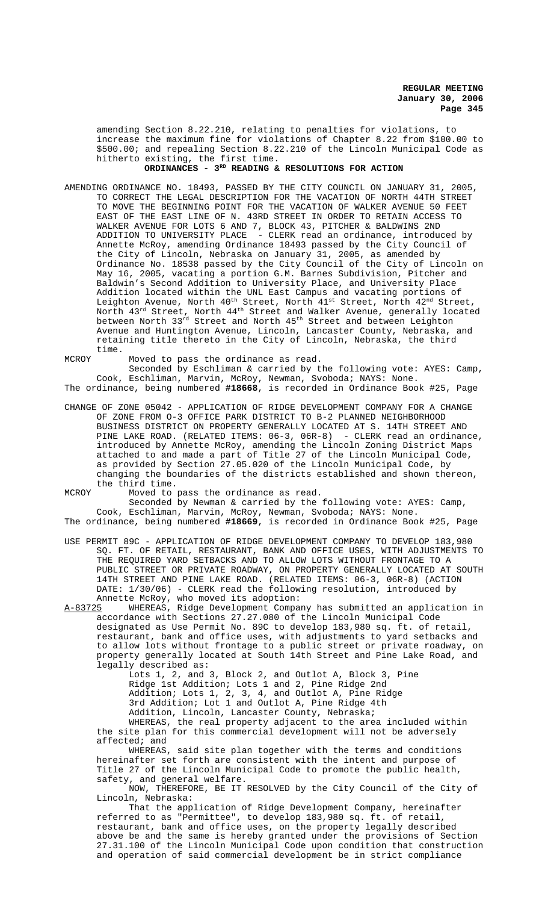amending Section 8.22.210, relating to penalties for violations, to increase the maximum fine for violations of Chapter 8.22 from \$100.00 to \$500.00; and repealing Section 8.22.210 of the Lincoln Municipal Code as hitherto existing, the first time.

## ORDINANCES - 3<sup>RD</sup> READING & RESOLUTIONS FOR ACTION

- AMENDING ORDINANCE NO. 18493, PASSED BY THE CITY COUNCIL ON JANUARY 31, 2005, TO CORRECT THE LEGAL DESCRIPTION FOR THE VACATION OF NORTH 44TH STREET TO MOVE THE BEGINNING POINT FOR THE VACATION OF WALKER AVENUE 50 FEET EAST OF THE EAST LINE OF N. 43RD STREET IN ORDER TO RETAIN ACCESS TO WALKER AVENUE FOR LOTS 6 AND 7, BLOCK 43, PITCHER & BALDWINS 2ND ADDITION TO UNIVERSITY PLACE - CLERK read an ordinance, introduced by Annette McRoy, amending Ordinance 18493 passed by the City Council of the City of Lincoln, Nebraska on January 31, 2005, as amended by Ordinance No. 18538 passed by the City Council of the City of Lincoln on May 16, 2005, vacating a portion G.M. Barnes Subdivision, Pitcher and Baldwin's Second Addition to University Place, and University Place Addition located within the UNL East Campus and vacating portions of Leighton Avenue, North  $40^{\rm th}$  Street, North  $41^{\rm st}$  Street, North  $42^{\rm nd}$  Street, North  $43^{\text{rd}}$  Street, North  $44^{\text{th}}$  Street and Walker Avenue, generally located between North 33 $^{\rm rd}$  Street and North  $45^{\rm th}$  Street and between Leighton Avenue and Huntington Avenue, Lincoln, Lancaster County, Nebraska, and retaining title thereto in the City of Lincoln, Nebraska, the third time.
- MCROY Moved to pass the ordinance as read.

Seconded by Eschliman & carried by the following vote: AYES: Camp, Cook, Eschliman, Marvin, McRoy, Newman, Svoboda; NAYS: None.

The ordinance, being numbered **#18668**, is recorded in Ordinance Book #25, Page

- CHANGE OF ZONE 05042 APPLICATION OF RIDGE DEVELOPMENT COMPANY FOR A CHANGE OF ZONE FROM O-3 OFFICE PARK DISTRICT TO B-2 PLANNED NEIGHBORHOOD BUSINESS DISTRICT ON PROPERTY GENERALLY LOCATED AT S. 14TH STREET AND PINE LAKE ROAD. (RELATED ITEMS: 06-3, 06R-8) - CLERK read an ordinance, introduced by Annette McRoy, amending the Lincoln Zoning District Maps attached to and made a part of Title 27 of the Lincoln Municipal Code, as provided by Section 27.05.020 of the Lincoln Municipal Code, by changing the boundaries of the districts established and shown thereon, the third time.
- MCROY Moved to pass the ordinance as read.

Seconded by Newman & carried by the following vote: AYES: Camp, Cook, Eschliman, Marvin, McRoy, Newman, Svoboda; NAYS: None.

- The ordinance, being numbered **#18669**, is recorded in Ordinance Book #25, Page USE PERMIT 89C - APPLICATION OF RIDGE DEVELOPMENT COMPANY TO DEVELOP 183,980
- SQ. FT. OF RETAIL, RESTAURANT, BANK AND OFFICE USES, WITH ADJUSTMENTS TO THE REQUIRED YARD SETBACKS AND TO ALLOW LOTS WITHOUT FRONTAGE TO A PUBLIC STREET OR PRIVATE ROADWAY, ON PROPERTY GENERALLY LOCATED AT SOUTH 14TH STREET AND PINE LAKE ROAD. (RELATED ITEMS: 06-3, 06R-8) (ACTION DATE: 1/30/06) - CLERK read the following resolution, introduced by Annette McRoy, who moved its adoption:<br>A-83725 WHEREAS, Ridge Development Compa
- WHEREAS, Ridge Development Company has submitted an application in accordance with Sections 27.27.080 of the Lincoln Municipal Code designated as Use Permit No. 89C to develop 183,980 sq. ft. of retail, restaurant, bank and office uses, with adjustments to yard setbacks and to allow lots without frontage to a public street or private roadway, on property generally located at South 14th Street and Pine Lake Road, and legally described as:

Lots 1, 2, and 3, Block 2, and Outlot A, Block 3, Pine Ridge 1st Addition; Lots 1 and 2, Pine Ridge 2nd Addition; Lots 1, 2, 3, 4, and Outlot A, Pine Ridge 3rd Addition; Lot 1 and Outlot A, Pine Ridge 4th Addition, Lincoln, Lancaster County, Nebraska;

WHEREAS, the real property adjacent to the area included within the site plan for this commercial development will not be adversely affected; and

WHEREAS, said site plan together with the terms and conditions hereinafter set forth are consistent with the intent and purpose of Title 27 of the Lincoln Municipal Code to promote the public health, safety, and general welfare.

NOW, THEREFORE, BE IT RESOLVED by the City Council of the City of Lincoln, Nebraska:

That the application of Ridge Development Company, hereinafter referred to as "Permittee", to develop 183,980 sq. ft. of retail, restaurant, bank and office uses, on the property legally described above be and the same is hereby granted under the provisions of Section 27.31.100 of the Lincoln Municipal Code upon condition that construction and operation of said commercial development be in strict compliance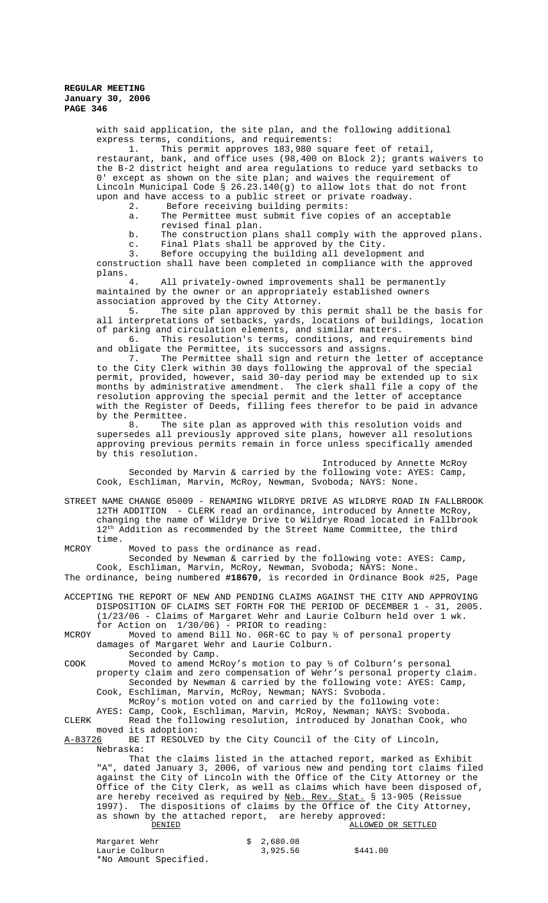with said application, the site plan, and the following additional express terms, conditions, and requirements:

1. This permit approves 183,980 square feet of retail, restaurant, bank, and office uses (98,400 on Block 2); grants waivers to the B-2 district height and area regulations to reduce yard setbacks to 0' except as shown on the site plan; and waives the requirement of Lincoln Municipal Code § 26.23.140(g) to allow lots that do not front upon and have access to a public street or private roadway.

2. Before receiving building permits:

a. The Permittee must submit five copies of an acceptable revised final plan.

b. The construction plans shall comply with the approved plans. c. Final Plats shall be approved by the City.

3. Before occupying the building all development and

construction shall have been completed in compliance with the approved plans.

All privately-owned improvements shall be permanently maintained by the owner or an appropriately established owners association approved by the City Attorney.

5. The site plan approved by this permit shall be the basis for all interpretations of setbacks, yards, locations of buildings, location of parking and circulation elements, and similar matters.

6. This resolution's terms, conditions, and requirements bind and obligate the Permittee, its successors and assigns.<br>7. The Permittee shall sign and return the let

The Permittee shall sign and return the letter of acceptance to the City Clerk within 30 days following the approval of the special permit, provided, however, said 30-day period may be extended up to six months by administrative amendment. The clerk shall file a copy of the resolution approving the special permit and the letter of acceptance with the Register of Deeds, filling fees therefor to be paid in advance by the Permittee.

8. The site plan as approved with this resolution voids and supersedes all previously approved site plans, however all resolutions approving previous permits remain in force unless specifically amended by this resolution.

Introduced by Annette McRoy Seconded by Marvin & carried by the following vote: AYES: Camp, Cook, Eschliman, Marvin, McRoy, Newman, Svoboda; NAYS: None.

STREET NAME CHANGE 05009 - RENAMING WILDRYE DRIVE AS WILDRYE ROAD IN FALLBROOK 12TH ADDITION - CLERK read an ordinance, introduced by Annette McRoy, changing the name of Wildrye Drive to Wildrye Road located in Fallbrook  $12<sup>th</sup>$  Addition as recommended by the Street Name Committee, the third time.

MCROY Moved to pass the ordinance as read.

Seconded by Newman & carried by the following vote: AYES: Camp, Cook, Eschliman, Marvin, McRoy, Newman, Svoboda; NAYS: None.

The ordinance, being numbered **#18670**, is recorded in Ordinance Book #25, Page

ACCEPTING THE REPORT OF NEW AND PENDING CLAIMS AGAINST THE CITY AND APPROVING DISPOSITION OF CLAIMS SET FORTH FOR THE PERIOD OF DECEMBER 1 - 31, 2005. (1/23/06 - Claims of Margaret Wehr and Laurie Colburn held over 1 wk. for Action on 1/30/06) - PRIOR to reading:

MCROY Moved to amend Bill No. 06R-6C to pay ½ of personal property damages of Margaret Wehr and Laurie Colburn. Seconded by Camp.

COOK Moved to amend McRoy's motion to pay  $\frac{1}{2}$  of Colburn's personal property claim and zero compensation of Wehr's personal property claim. Seconded by Newman & carried by the following vote: AYES: Camp,

Cook, Eschliman, Marvin, McRoy, Newman; NAYS: Svoboda.

McRoy's motion voted on and carried by the following vote: AYES: Camp, Cook, Eschliman, Marvin, McRoy, Newman; NAYS: Svoboda.

CLERK Read the following resolution, introduced by Jonathan Cook, who moved its adoption:<br><u>A-83726</u> BE IT RESOLVE

BE IT RESOLVED by the City Council of the City of Lincoln, Nebraska:

That the claims listed in the attached report, marked as Exhibit "A", dated January 3, 2006, of various new and pending tort claims filed against the City of Lincoln with the Office of the City Attorney or the Office of the City Clerk, as well as claims which have been disposed of, are hereby received as required by Neb. Rev. Stat. § 13-905 (Reissue 1997). The dispositions of claims by the Office of the City Attorney, as shown by the attached report, are hereby approved:<br>DENIED ALLOWED ALLOWED OR SETTLED

| Margaret Wehr         | \$ 2,680.08 |          |
|-----------------------|-------------|----------|
| Laurie Colburn        | 3,925.56    | \$441.00 |
| *No Amount Specified. |             |          |